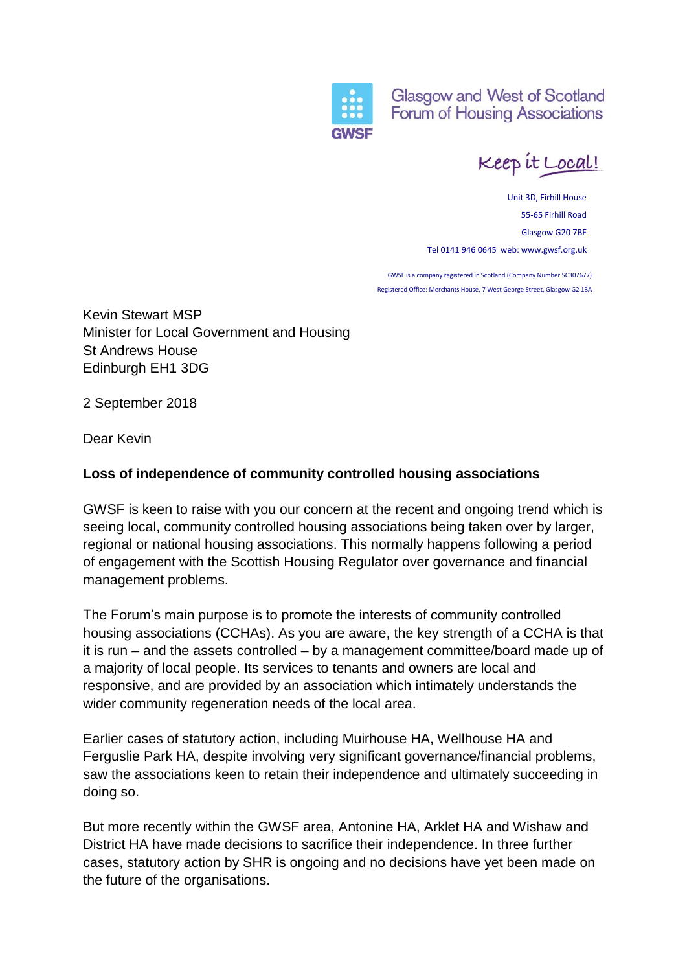

**Glasgow and West of Scotland** Forum of Housing Associations

Keep it Local!

Unit 3D, Firhill House 55-65 Firhill Road Glasgow G20 7BE Tel 0141 946 0645 web: www.gwsf.org.uk

GWSF is a company registered in Scotland (Company Number SC307677) Registered Office: Merchants House, 7 West George Street, Glasgow G2 1BA

Kevin Stewart MSP Minister for Local Government and Housing St Andrews House Edinburgh EH1 3DG

2 September 2018

Dear Kevin

## **Loss of independence of community controlled housing associations**

GWSF is keen to raise with you our concern at the recent and ongoing trend which is seeing local, community controlled housing associations being taken over by larger, regional or national housing associations. This normally happens following a period of engagement with the Scottish Housing Regulator over governance and financial management problems.

The Forum's main purpose is to promote the interests of community controlled housing associations (CCHAs). As you are aware, the key strength of a CCHA is that it is run – and the assets controlled – by a management committee/board made up of a majority of local people. Its services to tenants and owners are local and responsive, and are provided by an association which intimately understands the wider community regeneration needs of the local area.

Earlier cases of statutory action, including Muirhouse HA, Wellhouse HA and Ferguslie Park HA, despite involving very significant governance/financial problems, saw the associations keen to retain their independence and ultimately succeeding in doing so.

But more recently within the GWSF area, Antonine HA, Arklet HA and Wishaw and District HA have made decisions to sacrifice their independence. In three further cases, statutory action by SHR is ongoing and no decisions have yet been made on the future of the organisations.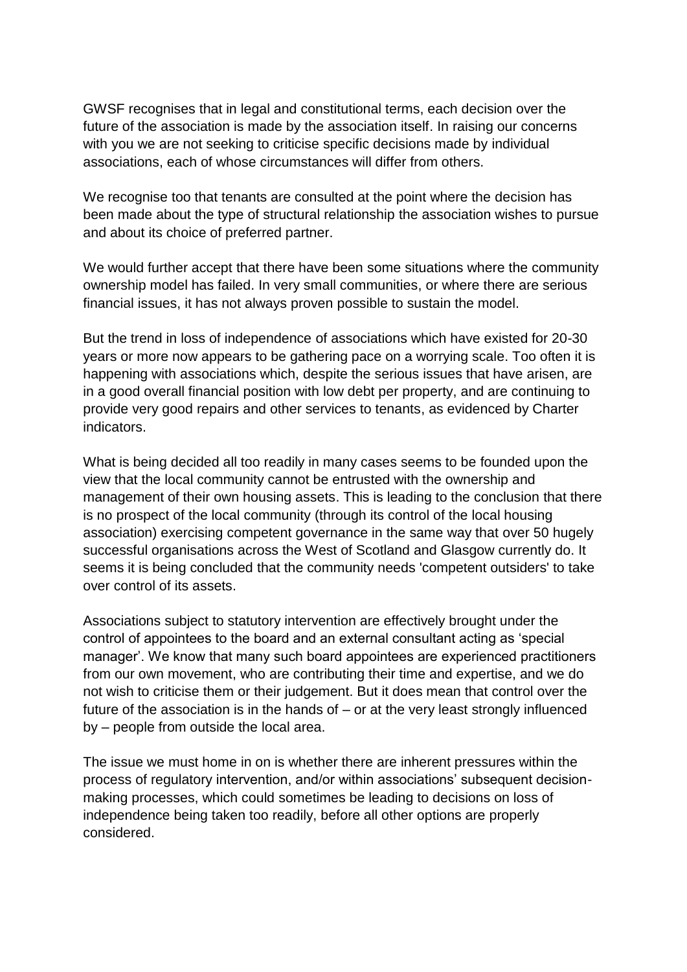GWSF recognises that in legal and constitutional terms, each decision over the future of the association is made by the association itself. In raising our concerns with you we are not seeking to criticise specific decisions made by individual associations, each of whose circumstances will differ from others.

We recognise too that tenants are consulted at the point where the decision has been made about the type of structural relationship the association wishes to pursue and about its choice of preferred partner.

We would further accept that there have been some situations where the community ownership model has failed. In very small communities, or where there are serious financial issues, it has not always proven possible to sustain the model.

But the trend in loss of independence of associations which have existed for 20-30 years or more now appears to be gathering pace on a worrying scale. Too often it is happening with associations which, despite the serious issues that have arisen, are in a good overall financial position with low debt per property, and are continuing to provide very good repairs and other services to tenants, as evidenced by Charter indicators.

What is being decided all too readily in many cases seems to be founded upon the view that the local community cannot be entrusted with the ownership and management of their own housing assets. This is leading to the conclusion that there is no prospect of the local community (through its control of the local housing association) exercising competent governance in the same way that over 50 hugely successful organisations across the West of Scotland and Glasgow currently do. It seems it is being concluded that the community needs 'competent outsiders' to take over control of its assets.

Associations subject to statutory intervention are effectively brought under the control of appointees to the board and an external consultant acting as 'special manager'. We know that many such board appointees are experienced practitioners from our own movement, who are contributing their time and expertise, and we do not wish to criticise them or their judgement. But it does mean that control over the future of the association is in the hands of  $-$  or at the very least strongly influenced by – people from outside the local area.

The issue we must home in on is whether there are inherent pressures within the process of regulatory intervention, and/or within associations' subsequent decisionmaking processes, which could sometimes be leading to decisions on loss of independence being taken too readily, before all other options are properly considered.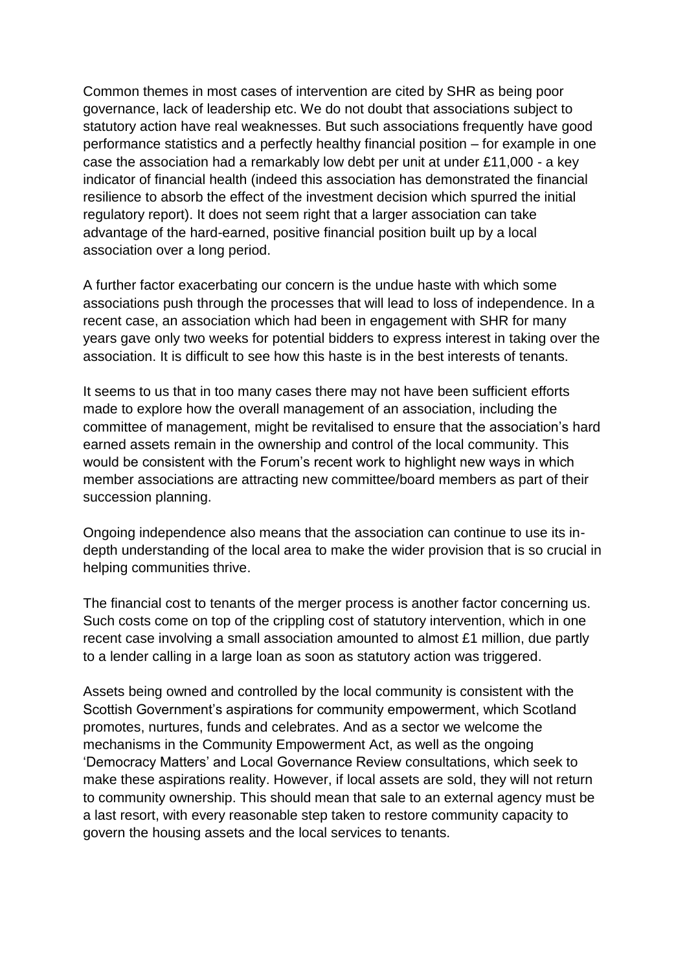Common themes in most cases of intervention are cited by SHR as being poor governance, lack of leadership etc. We do not doubt that associations subject to statutory action have real weaknesses. But such associations frequently have good performance statistics and a perfectly healthy financial position – for example in one case the association had a remarkably low debt per unit at under £11,000 - a key indicator of financial health (indeed this association has demonstrated the financial resilience to absorb the effect of the investment decision which spurred the initial regulatory report). It does not seem right that a larger association can take advantage of the hard-earned, positive financial position built up by a local association over a long period.

A further factor exacerbating our concern is the undue haste with which some associations push through the processes that will lead to loss of independence. In a recent case, an association which had been in engagement with SHR for many years gave only two weeks for potential bidders to express interest in taking over the association. It is difficult to see how this haste is in the best interests of tenants.

It seems to us that in too many cases there may not have been sufficient efforts made to explore how the overall management of an association, including the committee of management, might be revitalised to ensure that the association's hard earned assets remain in the ownership and control of the local community. This would be consistent with the Forum's recent work to highlight new ways in which member associations are attracting new committee/board members as part of their succession planning.

Ongoing independence also means that the association can continue to use its indepth understanding of the local area to make the wider provision that is so crucial in helping communities thrive.

The financial cost to tenants of the merger process is another factor concerning us. Such costs come on top of the crippling cost of statutory intervention, which in one recent case involving a small association amounted to almost £1 million, due partly to a lender calling in a large loan as soon as statutory action was triggered.

Assets being owned and controlled by the local community is consistent with the Scottish Government's aspirations for community empowerment, which Scotland promotes, nurtures, funds and celebrates. And as a sector we welcome the mechanisms in the Community Empowerment Act, as well as the ongoing 'Democracy Matters' and Local Governance Review consultations, which seek to make these aspirations reality. However, if local assets are sold, they will not return to community ownership. This should mean that sale to an external agency must be a last resort, with every reasonable step taken to restore community capacity to govern the housing assets and the local services to tenants.